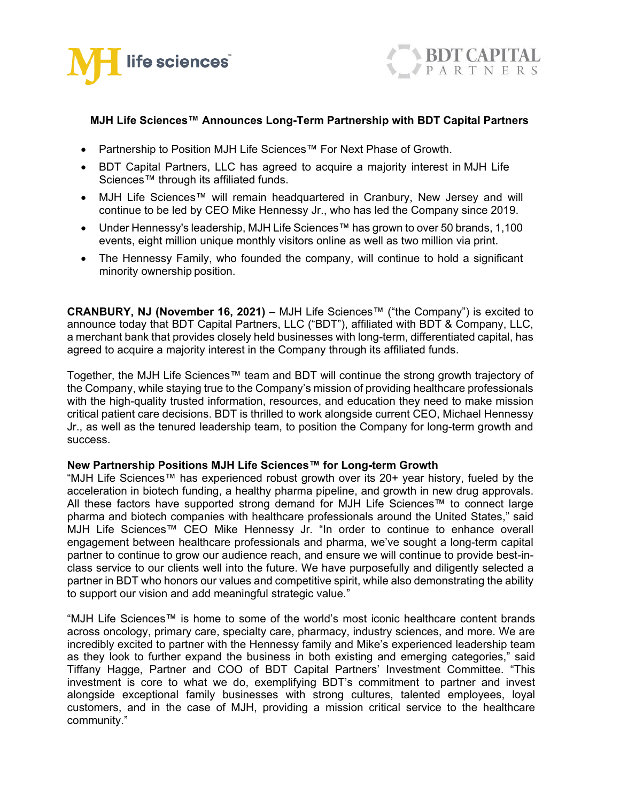



# **MJH Life Sciences™ Announces Long-Term Partnership with BDT Capital Partners**

- Partnership to Position MJH Life Sciences™ For Next Phase of Growth.
- BDT Capital Partners, LLC has agreed to acquire a majority interest in MJH Life Sciences™ through its affiliated funds.
- MJH Life Sciences™ will remain headquartered in Cranbury, New Jersey and will continue to be led by CEO Mike Hennessy Jr., who has led the Company since 2019.
- Under Hennessy's leadership, MJH Life Sciences™ has grown to over 50 brands, 1,100 events, eight million unique monthly visitors online as well as two million via print.
- The Hennessy Family, who founded the company, will continue to hold a significant minority ownership position.

**CRANBURY, NJ (November 16, 2021)** – MJH Life Sciences™ ("the Company") is excited to announce today that BDT Capital Partners, LLC ("BDT"), affiliated with BDT & Company, LLC, a merchant bank that provides closely held businesses with long-term, differentiated capital, has agreed to acquire a majority interest in the Company through its affiliated funds.

Together, the MJH Life Sciences™ team and BDT will continue the strong growth trajectory of the Company, while staying true to the Company's mission of providing healthcare professionals with the high-quality trusted information, resources, and education they need to make mission critical patient care decisions. BDT is thrilled to work alongside current CEO, Michael Hennessy Jr., as well as the tenured leadership team, to position the Company for long-term growth and success.

## **New Partnership Positions MJH Life Sciences™ for Long-term Growth**

"MJH Life Sciences™ has experienced robust growth over its 20+ year history, fueled by the acceleration in biotech funding, a healthy pharma pipeline, and growth in new drug approvals. All these factors have supported strong demand for MJH Life Sciences™ to connect large pharma and biotech companies with healthcare professionals around the United States," said MJH Life Sciences™ CEO Mike Hennessy Jr. "In order to continue to enhance overall engagement between healthcare professionals and pharma, we've sought a long-term capital partner to continue to grow our audience reach, and ensure we will continue to provide best-inclass service to our clients well into the future. We have purposefully and diligently selected a partner in BDT who honors our values and competitive spirit, while also demonstrating the ability to support our vision and add meaningful strategic value."

"MJH Life Sciences™ is home to some of the world's most iconic healthcare content brands across oncology, primary care, specialty care, pharmacy, industry sciences, and more. We are incredibly excited to partner with the Hennessy family and Mike's experienced leadership team as they look to further expand the business in both existing and emerging categories," said Tiffany Hagge, Partner and COO of BDT Capital Partners' Investment Committee. "This investment is core to what we do, exemplifying BDT's commitment to partner and invest alongside exceptional family businesses with strong cultures, talented employees, loyal customers, and in the case of MJH, providing a mission critical service to the healthcare community."